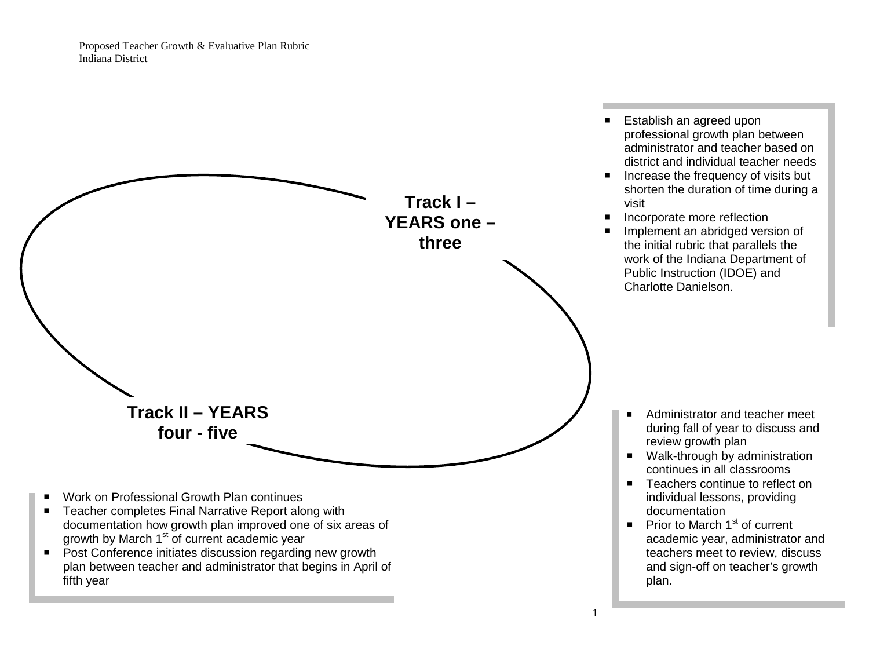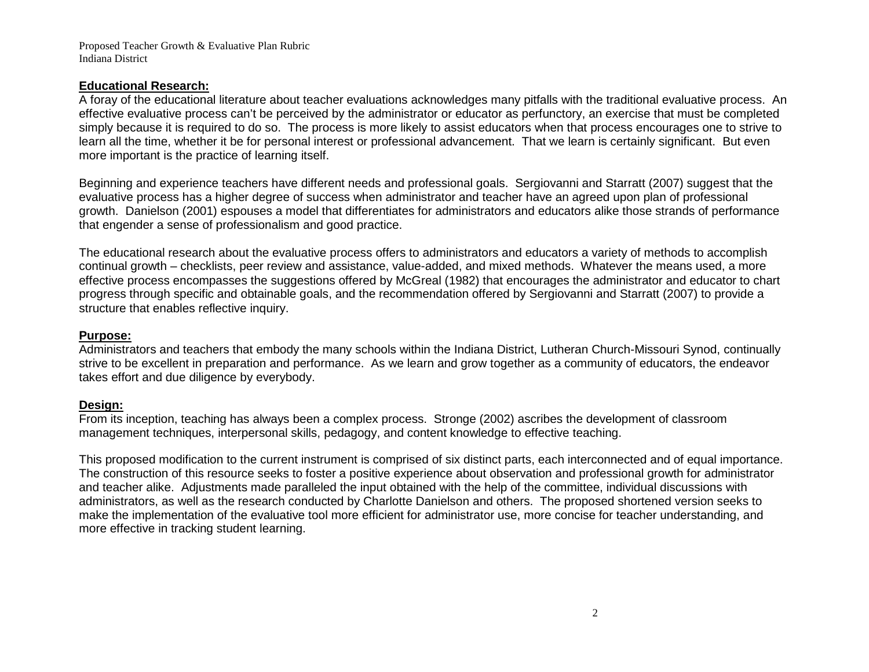### **Educational Research:**

A foray of the educational literature about teacher evaluations acknowledges many pitfalls with the traditional evaluative process. An effective evaluative process can't be perceived by the administrator or educator as perfunctory, an exercise that must be completed simply because it is required to do so. The process is more likely to assist educators when that process encourages one to strive to learn all the time, whether it be for personal interest or professional advancement. That we learn is certainly significant. But even more important is the practice of learning itself.

Beginning and experience teachers have different needs and professional goals. Sergiovanni and Starratt (2007) suggest that the evaluative process has a higher degree of success when administrator and teacher have an agreed upon plan of professional growth. Danielson (2001) espouses a model that differentiates for administrators and educators alike those strands of performance that engender a sense of professionalism and good practice.

The educational research about the evaluative process offers to administrators and educators a variety of methods to accomplish continual growth – checklists, peer review and assistance, value-added, and mixed methods. Whatever the means used, a more effective process encompasses the suggestions offered by McGreal (1982) that encourages the administrator and educator to chart progress through specific and obtainable goals, and the recommendation offered by Sergiovanni and Starratt (2007) to provide a structure that enables reflective inquiry.

### **Purpose:**

Administrators and teachers that embody the many schools within the Indiana District, Lutheran Church-Missouri Synod, continually strive to be excellent in preparation and performance. As we learn and grow together as a community of educators, the endeavor takes effort and due diligence by everybody.

### **Design:**

From its inception, teaching has always been a complex process. Stronge (2002) ascribes the development of classroom management techniques, interpersonal skills, pedagogy, and content knowledge to effective teaching.

This proposed modification to the current instrument is comprised of six distinct parts, each interconnected and of equal importance. The construction of this resource seeks to foster a positive experience about observation and professional growth for administrator and teacher alike. Adjustments made paralleled the input obtained with the help of the committee, individual discussions with administrators, as well as the research conducted by Charlotte Danielson and others. The proposed shortened version seeks to make the implementation of the evaluative tool more efficient for administrator use, more concise for teacher understanding, and more effective in tracking student learning.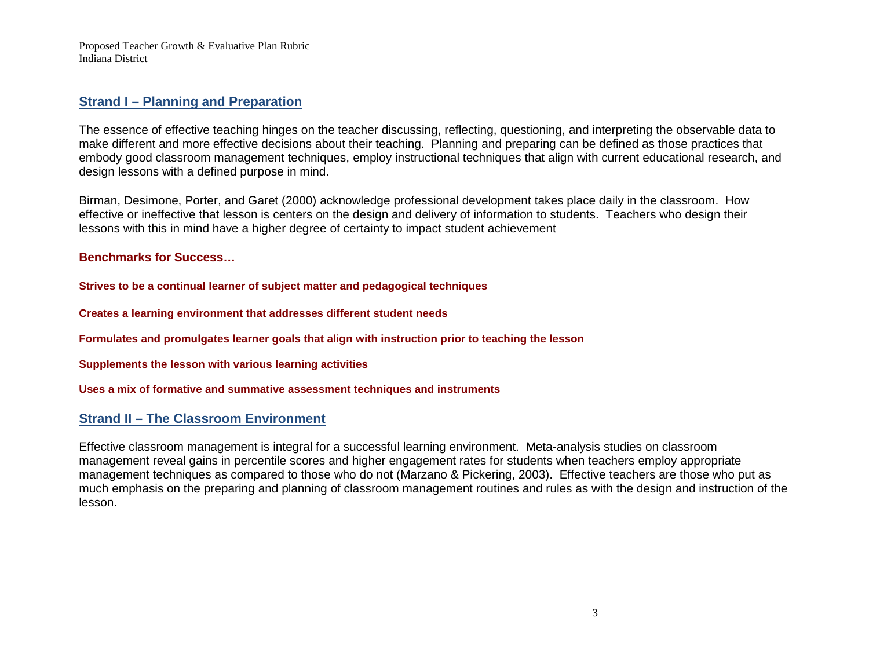## **Strand I – Planning and Preparation**

The essence of effective teaching hinges on the teacher discussing, reflecting, questioning, and interpreting the observable data to make different and more effective decisions about their teaching. Planning and preparing can be defined as those practices that embody good classroom management techniques, employ instructional techniques that align with current educational research, and design lessons with a defined purpose in mind.

Birman, Desimone, Porter, and Garet (2000) acknowledge professional development takes place daily in the classroom. How effective or ineffective that lesson is centers on the design and delivery of information to students. Teachers who design their lessons with this in mind have a higher degree of certainty to impact student achievement

**Benchmarks for Success…**

**Strives to be a continual learner of subject matter and pedagogical techniques**

**Creates a learning environment that addresses different student needs**

**Formulates and promulgates learner goals that align with instruction prior to teaching the lesson**

**Supplements the lesson with various learning activities**

**Uses a mix of formative and summative assessment techniques and instruments**

## **Strand II – The Classroom Environment**

Effective classroom management is integral for a successful learning environment. Meta-analysis studies on classroom management reveal gains in percentile scores and higher engagement rates for students when teachers employ appropriate management techniques as compared to those who do not (Marzano & Pickering, 2003). Effective teachers are those who put as much emphasis on the preparing and planning of classroom management routines and rules as with the design and instruction of the lesson.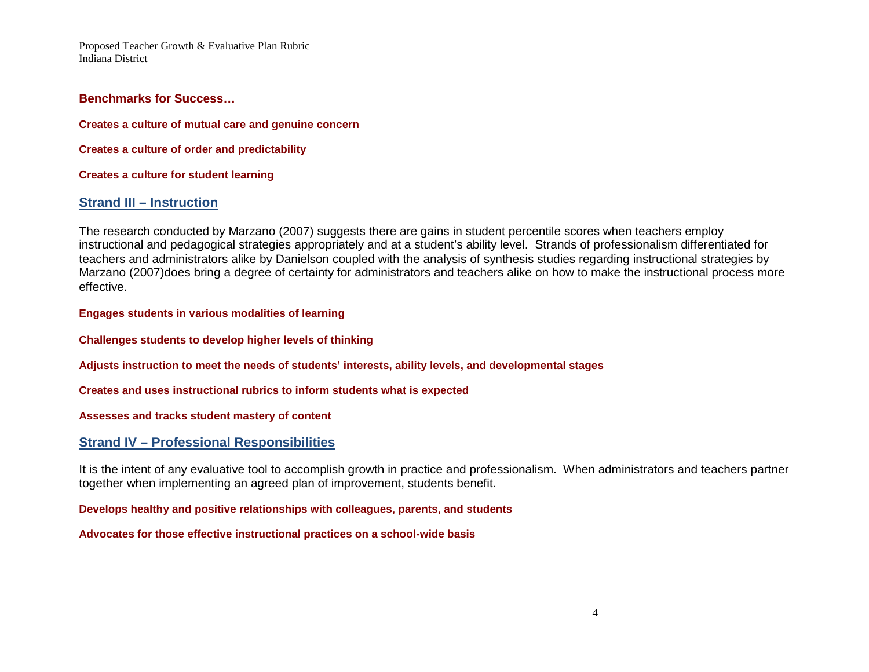#### **Benchmarks for Success…**

**Creates a culture of mutual care and genuine concern**

**Creates a culture of order and predictability**

**Creates a culture for student learning**

### **Strand III – Instruction**

The research conducted by Marzano (2007) suggests there are gains in student percentile scores when teachers employ instructional and pedagogical strategies appropriately and at a student's ability level. Strands of professionalism differentiated for teachers and administrators alike by Danielson coupled with the analysis of synthesis studies regarding instructional strategies by Marzano (2007)does bring a degree of certainty for administrators and teachers alike on how to make the instructional process more effective.

**Engages students in various modalities of learning**

**Challenges students to develop higher levels of thinking**

**Adjusts instruction to meet the needs of students' interests, ability levels, and developmental stages**

**Creates and uses instructional rubrics to inform students what is expected**

**Assesses and tracks student mastery of content**

### **Strand IV – Professional Responsibilities**

It is the intent of any evaluative tool to accomplish growth in practice and professionalism. When administrators and teachers partner together when implementing an agreed plan of improvement, students benefit.

**Develops healthy and positive relationships with colleagues, parents, and students**

**Advocates for those effective instructional practices on a school-wide basis**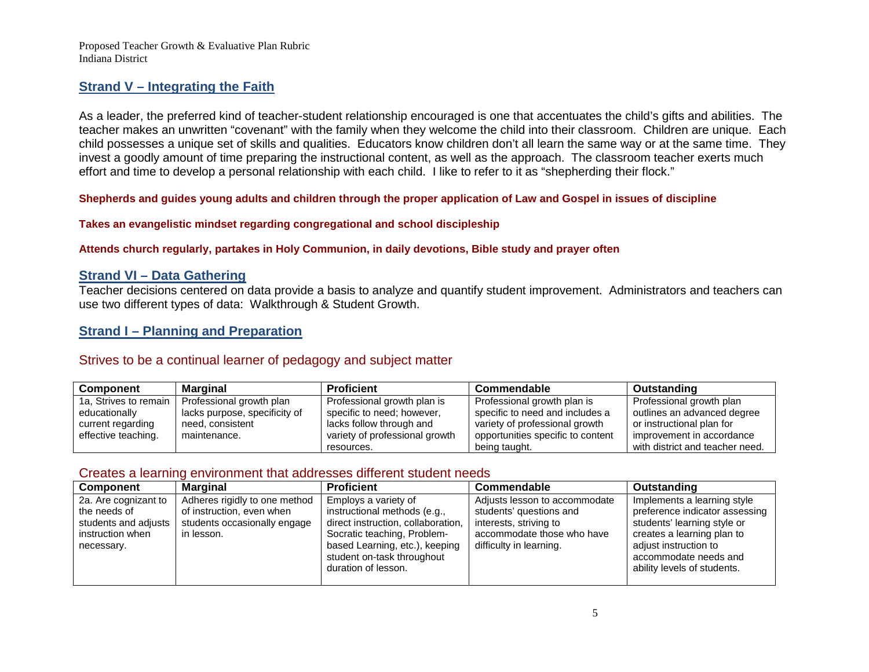### **Strand V – Integrating the Faith**

As a leader, the preferred kind of teacher-student relationship encouraged is one that accentuates the child's gifts and abilities. The teacher makes an unwritten "covenant" with the family when they welcome the child into their classroom. Children are unique. Each child possesses a unique set of skills and qualities. Educators know children don't all learn the same way or at the same time. They invest a goodly amount of time preparing the instructional content, as well as the approach. The classroom teacher exerts much effort and time to develop a personal relationship with each child. I like to refer to it as "shepherding their flock."

#### **Shepherds and guides young adults and children through the proper application of Law and Gospel in issues of discipline**

#### **Takes an evangelistic mindset regarding congregational and school discipleship**

#### **Attends church regularly, partakes in Holy Communion, in daily devotions, Bible study and prayer often**

### **Strand VI – Data Gathering**

Teacher decisions centered on data provide a basis to analyze and quantify student improvement. Administrators and teachers can use two different types of data: Walkthrough & Student Growth.

### **Strand I – Planning and Preparation**

### Strives to be a continual learner of pedagogy and subject matter

| Component             | Marginal                      | Proficient                     | Commendable                       | <b>Outstanding</b>              |
|-----------------------|-------------------------------|--------------------------------|-----------------------------------|---------------------------------|
| 1a, Strives to remain | Professional growth plan      | Professional growth plan is    | Professional growth plan is       | Professional growth plan        |
| educationally         | lacks purpose, specificity of | specific to need; however,     | specific to need and includes a   | outlines an advanced degree     |
| current regarding     | need, consistent              | lacks follow through and       | variety of professional growth    | or instructional plan for       |
| effective teaching.   | maintenance.                  | variety of professional growth | opportunities specific to content | improvement in accordance       |
|                       |                               | resources.                     | being taught.                     | with district and teacher need. |

### Creates a learning environment that addresses different student needs

| Component                                                                                      | <b>Marginal</b>                                                                                          | <b>Proficient</b>                                                                                                                                                                                                | <b>Commendable</b>                                                                                                                          | <b>Outstanding</b>                                                                                                                                                                                          |
|------------------------------------------------------------------------------------------------|----------------------------------------------------------------------------------------------------------|------------------------------------------------------------------------------------------------------------------------------------------------------------------------------------------------------------------|---------------------------------------------------------------------------------------------------------------------------------------------|-------------------------------------------------------------------------------------------------------------------------------------------------------------------------------------------------------------|
| 2a. Are cognizant to<br>the needs of<br>students and adjusts<br>instruction when<br>necessary. | Adheres rigidly to one method<br>of instruction, even when<br>students occasionally engage<br>in lesson. | Employs a variety of<br>instructional methods (e.g.,<br>direct instruction, collaboration,<br>Socratic teaching, Problem-<br>based Learning, etc.), keeping<br>student on-task throughout<br>duration of lesson. | Adjusts lesson to accommodate<br>students' questions and<br>interests, striving to<br>accommodate those who have<br>difficulty in learning. | Implements a learning style<br>preference indicator assessing<br>students' learning style or<br>creates a learning plan to<br>adjust instruction to<br>accommodate needs and<br>ability levels of students. |
|                                                                                                |                                                                                                          |                                                                                                                                                                                                                  |                                                                                                                                             |                                                                                                                                                                                                             |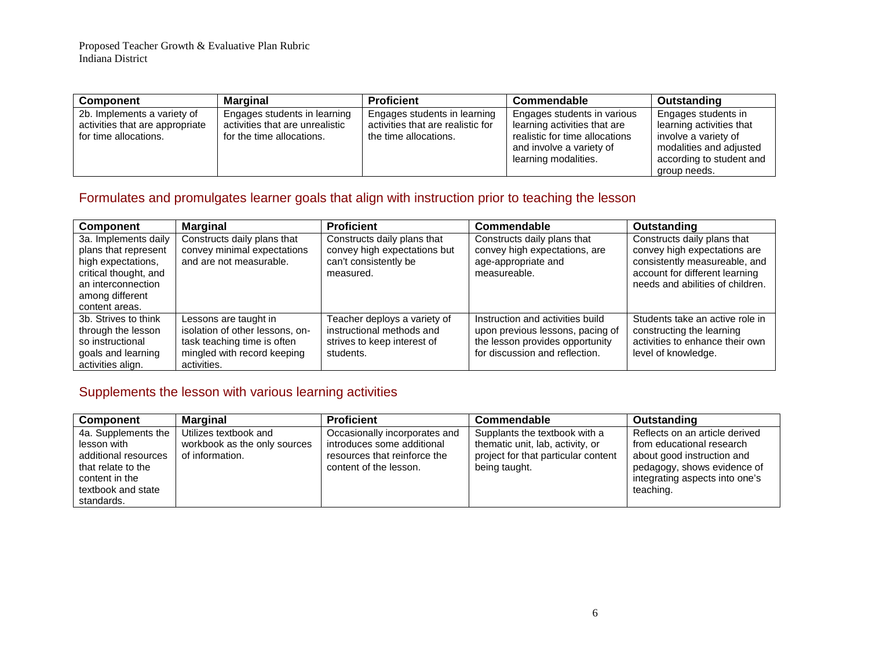| <b>Component</b>                                                                        | Marginal                                                                                     | <b>Proficient</b>                                                                          | Commendable                                                                                                                                       | Outstanding                                                                                                                                    |
|-----------------------------------------------------------------------------------------|----------------------------------------------------------------------------------------------|--------------------------------------------------------------------------------------------|---------------------------------------------------------------------------------------------------------------------------------------------------|------------------------------------------------------------------------------------------------------------------------------------------------|
| 2b. Implements a variety of<br>activities that are appropriate<br>for time allocations. | Engages students in learning<br>activities that are unrealistic<br>for the time allocations. | Engages students in learning<br>activities that are realistic for<br>the time allocations. | Engages students in various<br>learning activities that are<br>realistic for time allocations<br>and involve a variety of<br>learning modalities. | Engages students in<br>learning activities that<br>involve a variety of<br>modalities and adjusted<br>according to student and<br>group needs. |

# Formulates and promulgates learner goals that align with instruction prior to teaching the lesson

| <b>Component</b>                                                                                                                                       | <b>Marginal</b>                                                                                                                       | <b>Proficient</b>                                                                                     | Commendable                                                                                                                               | <b>Outstanding</b>                                                                                                                                                 |
|--------------------------------------------------------------------------------------------------------------------------------------------------------|---------------------------------------------------------------------------------------------------------------------------------------|-------------------------------------------------------------------------------------------------------|-------------------------------------------------------------------------------------------------------------------------------------------|--------------------------------------------------------------------------------------------------------------------------------------------------------------------|
| 3a. Implements daily<br>plans that represent<br>high expectations,<br>critical thought, and<br>an interconnection<br>among different<br>content areas. | Constructs daily plans that<br>convey minimal expectations<br>and are not measurable.                                                 | Constructs daily plans that<br>convey high expectations but<br>can't consistently be<br>measured.     | Constructs daily plans that<br>convey high expectations, are<br>age-appropriate and<br>measureable.                                       | Constructs daily plans that<br>convey high expectations are<br>consistently measureable, and<br>account for different learning<br>needs and abilities of children. |
| 3b. Strives to think<br>through the lesson<br>so instructional<br>goals and learning<br>activities align.                                              | Lessons are taught in<br>isolation of other lessons, on-<br>task teaching time is often<br>mingled with record keeping<br>activities. | Teacher deploys a variety of<br>instructional methods and<br>strives to keep interest of<br>students. | Instruction and activities build<br>upon previous lessons, pacing of<br>the lesson provides opportunity<br>for discussion and reflection. | Students take an active role in<br>constructing the learning<br>activities to enhance their own<br>level of knowledge.                                             |

# Supplements the lesson with various learning activities

| <b>Component</b>     | <b>Marginal</b>              | <b>Proficient</b>             | Commendable                         | Outstanding                    |
|----------------------|------------------------------|-------------------------------|-------------------------------------|--------------------------------|
| 4a. Supplements the  | Utilizes textbook and        | Occasionally incorporates and | Supplants the textbook with a       | Reflects on an article derived |
| lesson with          | workbook as the only sources | introduces some additional    | thematic unit, lab, activity, or    | from educational research      |
| additional resources | of information.              | resources that reinforce the  | project for that particular content | about good instruction and     |
| that relate to the   |                              | content of the lesson.        | being taught.                       | pedagogy, shows evidence of    |
| content in the       |                              |                               |                                     | integrating aspects into one's |
| textbook and state   |                              |                               |                                     | teaching.                      |
| standards.           |                              |                               |                                     |                                |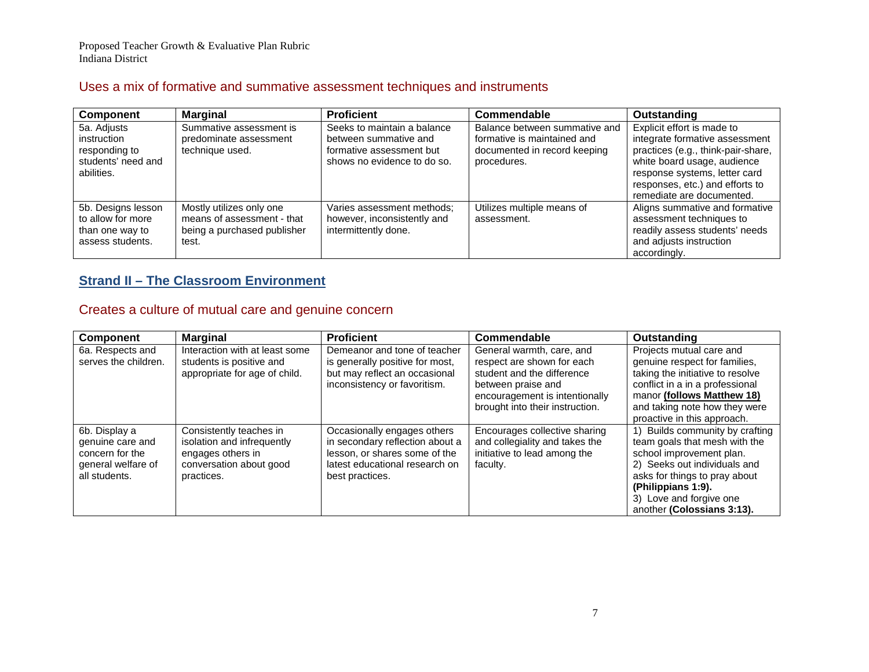## Uses a mix of formative and summative assessment techniques and instruments

| Component                                                                      | <b>Marginal</b>                                                                                | <b>Proficient</b>                                                                                               | Commendable                                                                                                 | <b>Outstanding</b>                                                                                                                      |
|--------------------------------------------------------------------------------|------------------------------------------------------------------------------------------------|-----------------------------------------------------------------------------------------------------------------|-------------------------------------------------------------------------------------------------------------|-----------------------------------------------------------------------------------------------------------------------------------------|
| 5a. Adjusts<br>instruction<br>responding to<br>students' need and              | Summative assessment is<br>predominate assessment<br>technique used.                           | Seeks to maintain a balance<br>between summative and<br>formative assessment but<br>shows no evidence to do so. | Balance between summative and<br>formative is maintained and<br>documented in record keeping<br>procedures. | Explicit effort is made to<br>integrate formative assessment<br>practices (e.g., think-pair-share,<br>white board usage, audience       |
| abilities.                                                                     |                                                                                                |                                                                                                                 |                                                                                                             | response systems, letter card<br>responses, etc.) and efforts to<br>remediate are documented.                                           |
| 5b. Designs lesson<br>to allow for more<br>than one way to<br>assess students. | Mostly utilizes only one<br>means of assessment - that<br>being a purchased publisher<br>test. | Varies assessment methods:<br>however, inconsistently and<br>intermittently done.                               | Utilizes multiple means of<br>assessment.                                                                   | Aligns summative and formative<br>assessment techniques to<br>readily assess students' needs<br>and adjusts instruction<br>accordingly. |

# **Strand II – The Classroom Environment**

# Creates a culture of mutual care and genuine concern

| Component                                                                                   | <b>Marginal</b>                                                                                                     | <b>Proficient</b>                                                                                                                                    | Commendable                                                                                                                                                                      | Outstanding                                                                                                                                                                                                                                  |
|---------------------------------------------------------------------------------------------|---------------------------------------------------------------------------------------------------------------------|------------------------------------------------------------------------------------------------------------------------------------------------------|----------------------------------------------------------------------------------------------------------------------------------------------------------------------------------|----------------------------------------------------------------------------------------------------------------------------------------------------------------------------------------------------------------------------------------------|
| 6a. Respects and<br>serves the children.                                                    | Interaction with at least some<br>students is positive and<br>appropriate for age of child.                         | Demeanor and tone of teacher<br>is generally positive for most,<br>but may reflect an occasional<br>inconsistency or favoritism.                     | General warmth, care, and<br>respect are shown for each<br>student and the difference<br>between praise and<br>encouragement is intentionally<br>brought into their instruction. | Projects mutual care and<br>genuine respect for families,<br>taking the initiative to resolve<br>conflict in a in a professional<br>manor (follows Matthew 18)<br>and taking note how they were<br>proactive in this approach.               |
| 6b. Display a<br>genuine care and<br>concern for the<br>general welfare of<br>all students. | Consistently teaches in<br>isolation and infrequently<br>engages others in<br>conversation about good<br>practices. | Occasionally engages others<br>in secondary reflection about a<br>lesson, or shares some of the<br>latest educational research on<br>best practices. | Encourages collective sharing<br>and collegiality and takes the<br>initiative to lead among the<br>faculty.                                                                      | 1) Builds community by crafting<br>team goals that mesh with the<br>school improvement plan.<br>2) Seeks out individuals and<br>asks for things to pray about<br>(Philippians 1:9).<br>3) Love and forgive one<br>another (Colossians 3:13). |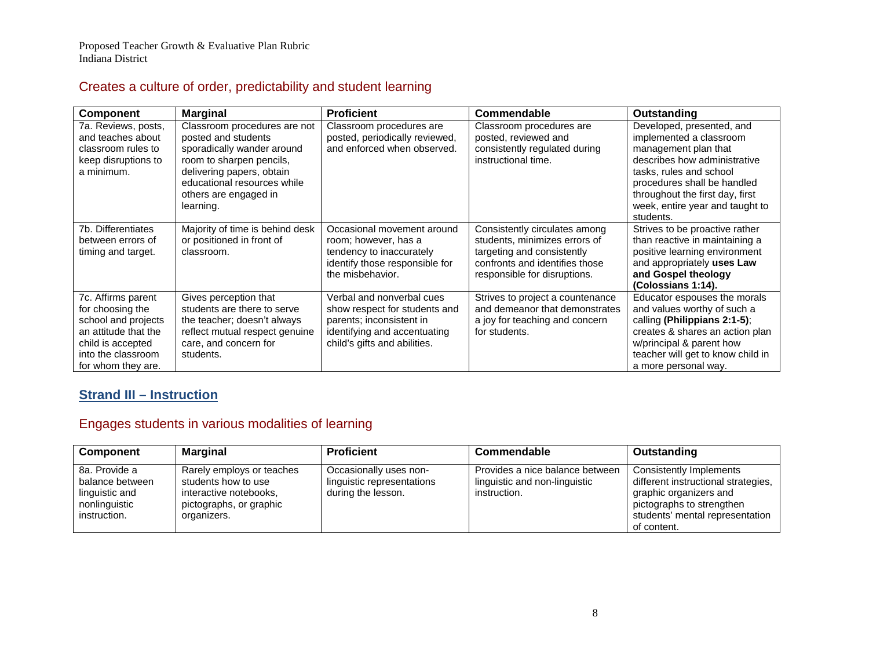# Creates a culture of order, predictability and student learning

| Component                                                                                                                                              | <b>Marginal</b>                                                                                                                                                                                                 | <b>Proficient</b>                                                                                                                                      | Commendable                                                                                                                                                    | Outstanding                                                                                                                                                                                                                                               |
|--------------------------------------------------------------------------------------------------------------------------------------------------------|-----------------------------------------------------------------------------------------------------------------------------------------------------------------------------------------------------------------|--------------------------------------------------------------------------------------------------------------------------------------------------------|----------------------------------------------------------------------------------------------------------------------------------------------------------------|-----------------------------------------------------------------------------------------------------------------------------------------------------------------------------------------------------------------------------------------------------------|
| 7a. Reviews, posts,<br>and teaches about<br>classroom rules to<br>keep disruptions to<br>a minimum.                                                    | Classroom procedures are not<br>posted and students<br>sporadically wander around<br>room to sharpen pencils,<br>delivering papers, obtain<br>educational resources while<br>others are engaged in<br>learning. | Classroom procedures are<br>posted, periodically reviewed,<br>and enforced when observed.                                                              | Classroom procedures are<br>posted, reviewed and<br>consistently regulated during<br>instructional time.                                                       | Developed, presented, and<br>implemented a classroom<br>management plan that<br>describes how administrative<br>tasks, rules and school<br>procedures shall be handled<br>throughout the first day, first<br>week, entire year and taught to<br>students. |
| 7b. Differentiates<br>between errors of<br>timing and target.                                                                                          | Majority of time is behind desk<br>or positioned in front of<br>classroom.                                                                                                                                      | Occasional movement around<br>room; however, has a<br>tendency to inaccurately<br>identify those responsible for<br>the misbehavior.                   | Consistently circulates among<br>students, minimizes errors of<br>targeting and consistently<br>confronts and identifies those<br>responsible for disruptions. | Strives to be proactive rather<br>than reactive in maintaining a<br>positive learning environment<br>and appropriately uses Law<br>and Gospel theology<br>(Colossians 1:14).                                                                              |
| 7c. Affirms parent<br>for choosing the<br>school and projects<br>an attitude that the<br>child is accepted<br>into the classroom<br>for whom they are. | Gives perception that<br>students are there to serve<br>the teacher; doesn't always<br>reflect mutual respect genuine<br>care, and concern for<br>students.                                                     | Verbal and nonverbal cues<br>show respect for students and<br>parents; inconsistent in<br>identifying and accentuating<br>child's gifts and abilities. | Strives to project a countenance<br>and demeanor that demonstrates<br>a joy for teaching and concern<br>for students.                                          | Educator espouses the morals<br>and values worthy of such a<br>calling (Philippians 2:1-5);<br>creates & shares an action plan<br>w/principal & parent how<br>teacher will get to know child in<br>a more personal way.                                   |

# **Strand III – Instruction**

# Engages students in various modalities of learning

| Component                                                                           | <b>Marginal</b>                                                                                                      | <b>Proficient</b>                                                          | Commendable                                                                      | Outstanding                                                                                                                                                             |
|-------------------------------------------------------------------------------------|----------------------------------------------------------------------------------------------------------------------|----------------------------------------------------------------------------|----------------------------------------------------------------------------------|-------------------------------------------------------------------------------------------------------------------------------------------------------------------------|
| 8a. Provide a<br>balance between<br>linguistic and<br>nonlinguistic<br>instruction. | Rarely employs or teaches<br>students how to use<br>interactive notebooks,<br>pictographs, or graphic<br>organizers. | Occasionally uses non-<br>linguistic representations<br>during the lesson. | Provides a nice balance between<br>linguistic and non-linguistic<br>instruction. | Consistently Implements<br>different instructional strategies,<br>graphic organizers and<br>pictographs to strengthen<br>students' mental representation<br>of content. |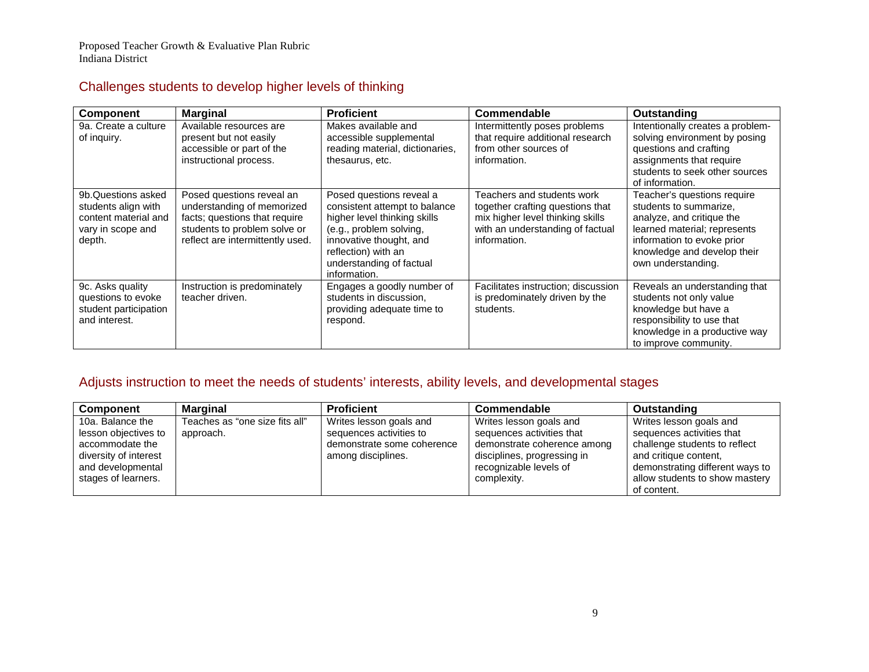# Challenges students to develop higher levels of thinking

| <b>Component</b>                                                                                 | <b>Marginal</b>                                                                                                                                              | <b>Proficient</b>                                                                                                                                                                                                  | Commendable                                                                                                                                            | Outstanding                                                                                                                                                                                           |
|--------------------------------------------------------------------------------------------------|--------------------------------------------------------------------------------------------------------------------------------------------------------------|--------------------------------------------------------------------------------------------------------------------------------------------------------------------------------------------------------------------|--------------------------------------------------------------------------------------------------------------------------------------------------------|-------------------------------------------------------------------------------------------------------------------------------------------------------------------------------------------------------|
| 9a. Create a culture<br>of inquiry.                                                              | Available resources are<br>present but not easily<br>accessible or part of the<br>instructional process.                                                     | Makes available and<br>accessible supplemental<br>reading material, dictionaries,<br>thesaurus, etc.                                                                                                               | Intermittently poses problems<br>that require additional research<br>from other sources of<br>information.                                             | Intentionally creates a problem-<br>solving environment by posing<br>questions and crafting<br>assignments that require<br>students to seek other sources<br>of information.                          |
| 9b.Questions asked<br>students align with<br>content material and<br>vary in scope and<br>depth. | Posed questions reveal an<br>understanding of memorized<br>facts; questions that require<br>students to problem solve or<br>reflect are intermittently used. | Posed questions reveal a<br>consistent attempt to balance<br>higher level thinking skills<br>(e.g., problem solving,<br>innovative thought, and<br>reflection) with an<br>understanding of factual<br>information. | Teachers and students work<br>together crafting questions that<br>mix higher level thinking skills<br>with an understanding of factual<br>information. | Teacher's questions require<br>students to summarize.<br>analyze, and critique the<br>learned material; represents<br>information to evoke prior<br>knowledge and develop their<br>own understanding. |
| 9c. Asks quality<br>questions to evoke<br>student participation<br>and interest.                 | Instruction is predominately<br>teacher driven.                                                                                                              | Engages a goodly number of<br>students in discussion,<br>providing adequate time to<br>respond.                                                                                                                    | Facilitates instruction; discussion<br>is predominately driven by the<br>students.                                                                     | Reveals an understanding that<br>students not only value<br>knowledge but have a<br>responsibility to use that<br>knowledge in a productive way<br>to improve community.                              |

# Adjusts instruction to meet the needs of students' interests, ability levels, and developmental stages

| <b>Component</b>      | <b>Marginal</b>                | <b>Proficient</b>          | <b>Commendable</b>          | Outstanding                     |
|-----------------------|--------------------------------|----------------------------|-----------------------------|---------------------------------|
| 10a. Balance the      | Teaches as "one size fits all" | Writes lesson goals and    | Writes lesson goals and     | Writes lesson goals and         |
| lesson objectives to  | approach.                      | sequences activities to    | sequences activities that   | sequences activities that       |
| accommodate the       |                                | demonstrate some coherence | demonstrate coherence among | challenge students to reflect   |
| diversity of interest |                                | among disciplines.         | disciplines, progressing in | and critique content.           |
| and developmental     |                                |                            | recognizable levels of      | demonstrating different ways to |
| stages of learners.   |                                |                            | complexity.                 | allow students to show mastery  |
|                       |                                |                            |                             | of content.                     |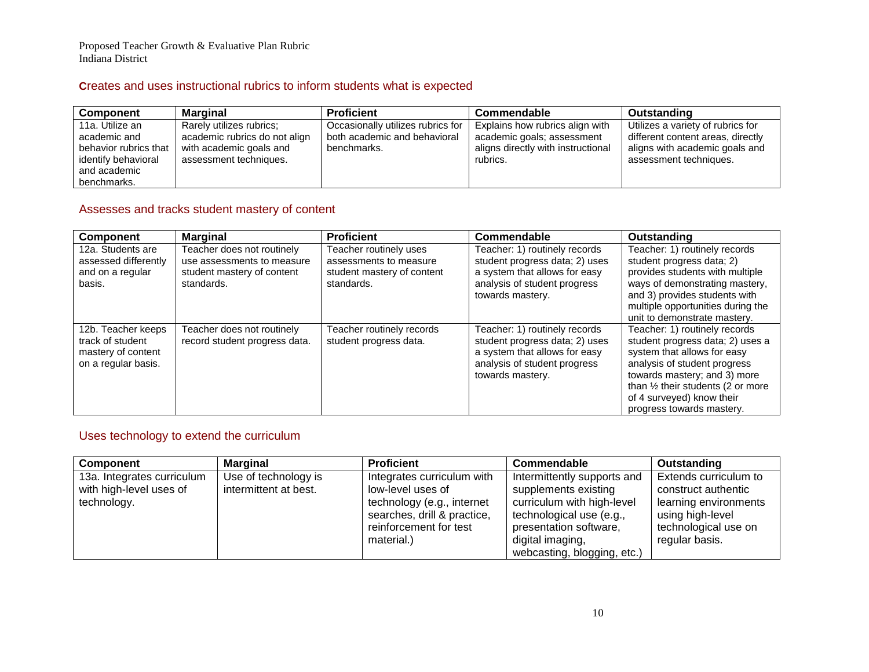## **C**reates and uses instructional rubrics to inform students what is expected

| Component             | Marginal                      | <b>Proficient</b>                 | Commendable                        | Outstanding                       |
|-----------------------|-------------------------------|-----------------------------------|------------------------------------|-----------------------------------|
| 11a. Utilize an       | Rarely utilizes rubrics:      | Occasionally utilizes rubrics for | Explains how rubrics align with    | Utilizes a variety of rubrics for |
| academic and          | academic rubrics do not align | both academic and behavioral      | academic goals; assessment         | different content areas, directly |
| behavior rubrics that | with academic goals and       | benchmarks.                       | aligns directly with instructional | aligns with academic goals and    |
| identify behavioral   | assessment techniques.        |                                   | rubrics.                           | assessment techniques.            |
| and academic          |                               |                                   |                                    |                                   |
| benchmarks.           |                               |                                   |                                    |                                   |

## Assesses and tracks student mastery of content

| Component                                                                           | <b>Marginal</b>                                                                                      | <b>Proficient</b>                                                                            | Commendable                                                                                                                                          | <b>Outstanding</b>                                                                                                                                                                                                                                                         |
|-------------------------------------------------------------------------------------|------------------------------------------------------------------------------------------------------|----------------------------------------------------------------------------------------------|------------------------------------------------------------------------------------------------------------------------------------------------------|----------------------------------------------------------------------------------------------------------------------------------------------------------------------------------------------------------------------------------------------------------------------------|
| 12a. Students are<br>assessed differently<br>and on a regular<br>basis.             | Teacher does not routinely<br>use assessments to measure<br>student mastery of content<br>standards. | Teacher routinely uses<br>assessments to measure<br>student mastery of content<br>standards. | Teacher: 1) routinely records<br>student progress data; 2) uses<br>a system that allows for easy<br>analysis of student progress<br>towards mastery. | Teacher: 1) routinely records<br>student progress data; 2)<br>provides students with multiple<br>ways of demonstrating mastery,<br>and 3) provides students with<br>multiple opportunities during the<br>unit to demonstrate mastery.                                      |
| 12b. Teacher keeps<br>track of student<br>mastery of content<br>on a regular basis. | Teacher does not routinely<br>record student progress data.                                          | Teacher routinely records<br>student progress data.                                          | Teacher: 1) routinely records<br>student progress data; 2) uses<br>a system that allows for easy<br>analysis of student progress<br>towards mastery. | Teacher: 1) routinely records<br>student progress data; 2) uses a<br>system that allows for easy<br>analysis of student progress<br>towards mastery; and 3) more<br>than $\frac{1}{2}$ their students (2 or more<br>of 4 surveyed) know their<br>progress towards mastery. |

## Uses technology to extend the curriculum

| <b>Component</b>           | <b>Marginal</b>       | <b>Proficient</b>           | Commendable                 | <b>Outstanding</b>    |
|----------------------------|-----------------------|-----------------------------|-----------------------------|-----------------------|
| 13a. Integrates curriculum | Use of technology is  | Integrates curriculum with  | Intermittently supports and | Extends curriculum to |
| with high-level uses of    | intermittent at best. | low-level uses of           | supplements existing        | construct authentic   |
| technology.                |                       | technology (e.g., internet  | curriculum with high-level  | learning environments |
|                            |                       | searches, drill & practice, | technological use (e.g.,    | using high-level      |
|                            |                       | reinforcement for test      | presentation software,      | technological use on  |
|                            |                       | material.)                  | digital imaging,            | regular basis.        |
|                            |                       |                             | webcasting, blogging, etc.) |                       |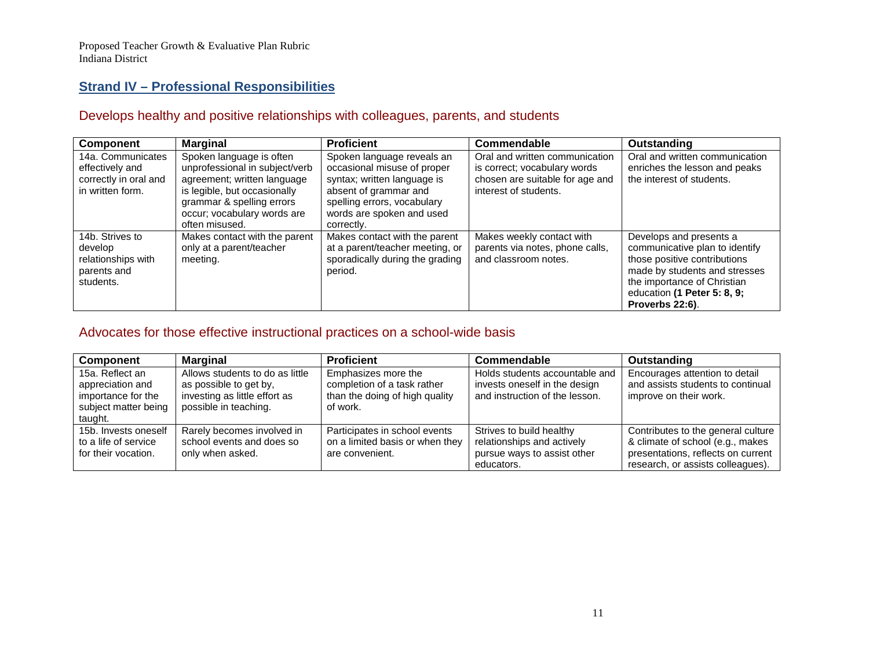## **Strand IV – Professional Responsibilities**

# Develops healthy and positive relationships with colleagues, parents, and students

| Component                                                                         | <b>Marginal</b>                                                                                                                                                                                         | <b>Proficient</b>                                                                                                                                                                           | Commendable                                                                                                                | <b>Outstanding</b>                                                                                                                                                                                          |
|-----------------------------------------------------------------------------------|---------------------------------------------------------------------------------------------------------------------------------------------------------------------------------------------------------|---------------------------------------------------------------------------------------------------------------------------------------------------------------------------------------------|----------------------------------------------------------------------------------------------------------------------------|-------------------------------------------------------------------------------------------------------------------------------------------------------------------------------------------------------------|
| 14a. Communicates<br>effectively and<br>correctly in oral and<br>in written form. | Spoken language is often<br>unprofessional in subject/verb<br>agreement; written language<br>is legible, but occasionally<br>grammar & spelling errors<br>occur; vocabulary words are<br>often misused. | Spoken language reveals an<br>occasional misuse of proper<br>syntax; written language is<br>absent of grammar and<br>spelling errors, vocabulary<br>words are spoken and used<br>correctly. | Oral and written communication<br>is correct; vocabulary words<br>chosen are suitable for age and<br>interest of students. | Oral and written communication<br>enriches the lesson and peaks<br>the interest of students.                                                                                                                |
| 14b. Strives to<br>develop<br>relationships with<br>parents and<br>students.      | Makes contact with the parent<br>only at a parent/teacher<br>meeting.                                                                                                                                   | Makes contact with the parent<br>at a parent/teacher meeting, or<br>sporadically during the grading<br>period.                                                                              | Makes weekly contact with<br>parents via notes, phone calls,<br>and classroom notes.                                       | Develops and presents a<br>communicative plan to identify<br>those positive contributions<br>made by students and stresses<br>the importance of Christian<br>education (1 Peter 5: 8, 9;<br>Proverbs 22:6). |

# Advocates for those effective instructional practices on a school-wide basis

| Component                                                                                    | <b>Marginal</b>                                                                                                     | <b>Proficient</b>                                                                                | Commendable                                                                                         | Outstanding                                                                                                                                       |
|----------------------------------------------------------------------------------------------|---------------------------------------------------------------------------------------------------------------------|--------------------------------------------------------------------------------------------------|-----------------------------------------------------------------------------------------------------|---------------------------------------------------------------------------------------------------------------------------------------------------|
| 15a. Reflect an<br>appreciation and<br>importance for the<br>subject matter being<br>taught. | Allows students to do as little<br>as possible to get by,<br>investing as little effort as<br>possible in teaching. | Emphasizes more the<br>completion of a task rather<br>than the doing of high quality<br>of work. | Holds students accountable and<br>invests oneself in the design<br>and instruction of the lesson.   | Encourages attention to detail<br>and assists students to continual<br>improve on their work.                                                     |
| 15b. Invests oneself<br>to a life of service<br>for their vocation.                          | Rarely becomes involved in<br>school events and does so<br>only when asked.                                         | Participates in school events<br>on a limited basis or when they<br>are convenient.              | Strives to build healthy<br>relationships and actively<br>pursue ways to assist other<br>educators. | Contributes to the general culture<br>& climate of school (e.g., makes<br>presentations, reflects on current<br>research, or assists colleagues). |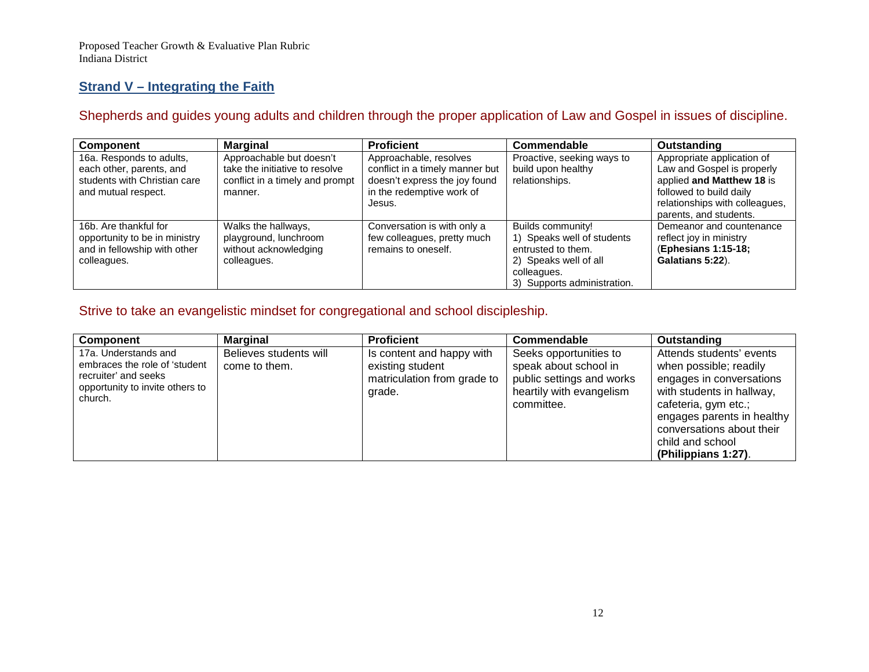# **Strand V – Integrating the Faith**

# Shepherds and guides young adults and children through the proper application of Law and Gospel in issues of discipline.

| Component                                                                                                   | <b>Marginal</b>                                                                                          | <b>Proficient</b>                                                                                                                 | Commendable                                                                                                                                  | Outstanding                                                                                                                                                                  |
|-------------------------------------------------------------------------------------------------------------|----------------------------------------------------------------------------------------------------------|-----------------------------------------------------------------------------------------------------------------------------------|----------------------------------------------------------------------------------------------------------------------------------------------|------------------------------------------------------------------------------------------------------------------------------------------------------------------------------|
| 16a. Responds to adults,<br>each other, parents, and<br>students with Christian care<br>and mutual respect. | Approachable but doesn't<br>take the initiative to resolve<br>conflict in a timely and prompt<br>manner. | Approachable, resolves<br>conflict in a timely manner but<br>doesn't express the joy found<br>in the redemptive work of<br>Jesus. | Proactive, seeking ways to<br>build upon healthy<br>relationships.                                                                           | Appropriate application of<br>Law and Gospel is properly<br>applied and Matthew 18 is<br>followed to build daily<br>relationships with colleagues,<br>parents, and students. |
| 16b. Are thankful for<br>opportunity to be in ministry<br>and in fellowship with other<br>colleagues.       | Walks the hallways,<br>playground, lunchroom<br>without acknowledging<br>colleagues.                     | Conversation is with only a<br>few colleagues, pretty much<br>remains to oneself.                                                 | Builds community!<br>1) Speaks well of students<br>entrusted to them.<br>2) Speaks well of all<br>colleagues.<br>3) Supports administration. | Demeanor and countenance<br>reflect joy in ministry<br>(Ephesians 1:15-18;<br>Galatians 5:22).                                                                               |

# Strive to take an evangelistic mindset for congregational and school discipleship.

| <b>Component</b>                                                                                                            | <b>Marginal</b>                         | <b>Proficient</b>                                                                      | Commendable                                                                                                            | Outstanding                                                                                                                                                                                                                               |
|-----------------------------------------------------------------------------------------------------------------------------|-----------------------------------------|----------------------------------------------------------------------------------------|------------------------------------------------------------------------------------------------------------------------|-------------------------------------------------------------------------------------------------------------------------------------------------------------------------------------------------------------------------------------------|
| 17a. Understands and<br>embraces the role of 'student<br>recruiter' and seeks<br>opportunity to invite others to<br>church. | Believes students will<br>come to them. | Is content and happy with<br>existing student<br>matriculation from grade to<br>grade. | Seeks opportunities to<br>speak about school in<br>public settings and works<br>heartily with evangelism<br>committee. | Attends students' events<br>when possible; readily<br>engages in conversations<br>with students in hallway,<br>cafeteria, gym etc.;<br>engages parents in healthy<br>conversations about their<br>child and school<br>(Philippians 1:27). |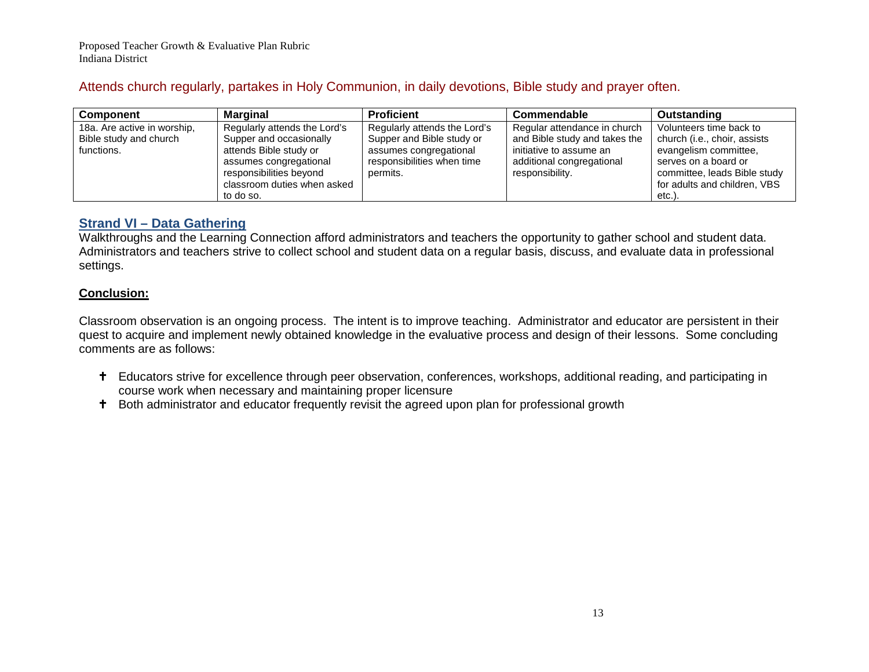# Attends church regularly, partakes in Holy Communion, in daily devotions, Bible study and prayer often.

| <b>Component</b>            | <b>Marginal</b>              | <b>Proficient</b>            | Commendable                   | <b>Outstanding</b>           |
|-----------------------------|------------------------------|------------------------------|-------------------------------|------------------------------|
| 18a. Are active in worship, | Regularly attends the Lord's | Regularly attends the Lord's | Regular attendance in church  | Volunteers time back to      |
| Bible study and church      | Supper and occasionally      | Supper and Bible study or    | and Bible study and takes the | church (i.e., choir, assists |
| functions.                  | attends Bible study or       | assumes congregational       | initiative to assume an       | evangelism committee,        |
|                             | assumes congregational       | responsibilities when time   | additional congregational     | serves on a board or         |
|                             | responsibilities beyond      | permits.                     | responsibility.               | committee, leads Bible study |
|                             | classroom duties when asked  |                              |                               | for adults and children, VBS |
|                             | to do so.                    |                              |                               | etc.).                       |

## **Strand VI – Data Gathering**

Walkthroughs and the Learning Connection afford administrators and teachers the opportunity to gather school and student data. Administrators and teachers strive to collect school and student data on a regular basis, discuss, and evaluate data in professional settings.

## **Conclusion:**

Classroom observation is an ongoing process. The intent is to improve teaching. Administrator and educator are persistent in their quest to acquire and implement newly obtained knowledge in the evaluative process and design of their lessons. Some concluding comments are as follows:

- Educators strive for excellence through peer observation, conferences, workshops, additional reading, and participating in course work when necessary and maintaining proper licensure
- <sup>+</sup> Both administrator and educator frequently revisit the agreed upon plan for professional growth